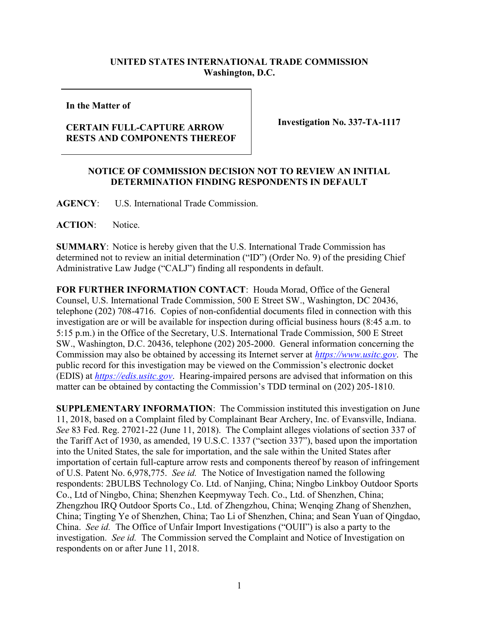## UNITED STATES INTERNATIONAL TRADE COMMISSION Washington, D.C.

In the Matter of

## CERTAIN FULL-CAPTURE ARROW RESTS AND COMPONENTS THEREOF

Investigation No. 337-TA-1117

## NOTICE OF COMMISSION DECISION NOT TO REVIEW AN INITIAL DETERMINATION FINDING RESPONDENTS IN DEFAULT

AGENCY: U.S. International Trade Commission.

ACTION: Notice.

SUMMARY: Notice is hereby given that the U.S. International Trade Commission has determined not to review an initial determination ("ID") (Order No. 9) of the presiding Chief Administrative Law Judge ("CALJ") finding all respondents in default.

FOR FURTHER INFORMATION CONTACT: Houda Morad, Office of the General Counsel, U.S. International Trade Commission, 500 E Street SW., Washington, DC 20436, telephone (202) 708-4716. Copies of non-confidential documents filed in connection with this investigation are or will be available for inspection during official business hours (8:45 a.m. to 5:15 p.m.) in the Office of the Secretary, U.S. International Trade Commission, 500 E Street SW., Washington, D.C. 20436, telephone (202) 205-2000. General information concerning the Commission may also be obtained by accessing its Internet server at https://www.usitc.gov. The public record for this investigation may be viewed on the Commission's electronic docket (EDIS) at https://edis.usitc.gov. Hearing-impaired persons are advised that information on this matter can be obtained by contacting the Commission's TDD terminal on (202) 205-1810.

SUPPLEMENTARY INFORMATION: The Commission instituted this investigation on June 11, 2018, based on a Complaint filed by Complainant Bear Archery, Inc. of Evansville, Indiana. See 83 Fed. Reg. 27021-22 (June 11, 2018). The Complaint alleges violations of section 337 of the Tariff Act of 1930, as amended, 19 U.S.C. 1337 ("section 337"), based upon the importation into the United States, the sale for importation, and the sale within the United States after importation of certain full-capture arrow rests and components thereof by reason of infringement of U.S. Patent No. 6,978,775. See id. The Notice of Investigation named the following respondents: 2BULBS Technology Co. Ltd. of Nanjing, China; Ningbo Linkboy Outdoor Sports Co., Ltd of Ningbo, China; Shenzhen Keepmyway Tech. Co., Ltd. of Shenzhen, China; Zhengzhou IRQ Outdoor Sports Co., Ltd. of Zhengzhou, China; Wenqing Zhang of Shenzhen, China; Tingting Ye of Shenzhen, China; Tao Li of Shenzhen, China; and Sean Yuan of Qingdao, China. See id. The Office of Unfair Import Investigations ("OUII") is also a party to the investigation. See id. The Commission served the Complaint and Notice of Investigation on respondents on or after June 11, 2018.